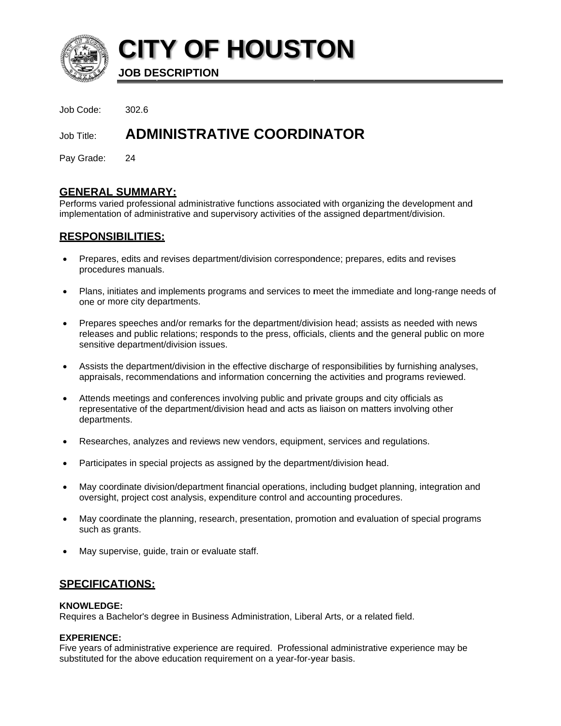

**CITY OF HOUSTON** 

**JOB DESCRIPTION** 

Job Code:  $302.6$ 

#### **ADMINISTRATIVE COORDINATOR** Job Title:

Pay Grade: 24

# **GENERAL SUMMARY:**

Performs varied professional administrative functions associated with organizing the development and implementation of administrative and supervisory activities of the assigned department/division.

# **RESPONSIBILITIES:**

- Prepares, edits and revises department/division correspondence; prepares, edits and revises procedures manuals.
- $\bullet$ Plans, initiates and implements programs and services to meet the immediate and long-range needs of one or more city departments.
- Prepares speeches and/or remarks for the department/division head; assists as needed with news  $\bullet$ releases and public relations; responds to the press, officials, clients and the general public on more sensitive department/division issues.
- Assists the department/division in the effective discharge of responsibilities by furnishing analyses,  $\bullet$ appraisals, recommendations and information concerning the activities and programs reviewed.
- Attends meetings and conferences involving public and private groups and city officials as representative of the department/division head and acts as liaison on matters involving other departments.
- Researches, analyzes and reviews new vendors, equipment, services and requlations.
- Participates in special projects as assigned by the department/division head.
- May coordinate division/department financial operations, including budget planning, integration and oversight, project cost analysis, expenditure control and accounting procedures.
- May coordinate the planning, research, presentation, promotion and evaluation of special programs such as grants.
- May supervise, quide, train or evaluate staff.

# <u>SPECIFICATIONS:</u>

# **KNOWLEDGE:**

Requires a Bachelor's degree in Business Administration, Liberal Arts, or a related field.

# **EXPERIENCE:**

Five years of administrative experience are required. Professional administrative experience may be substituted for the above education requirement on a year-for-year basis.